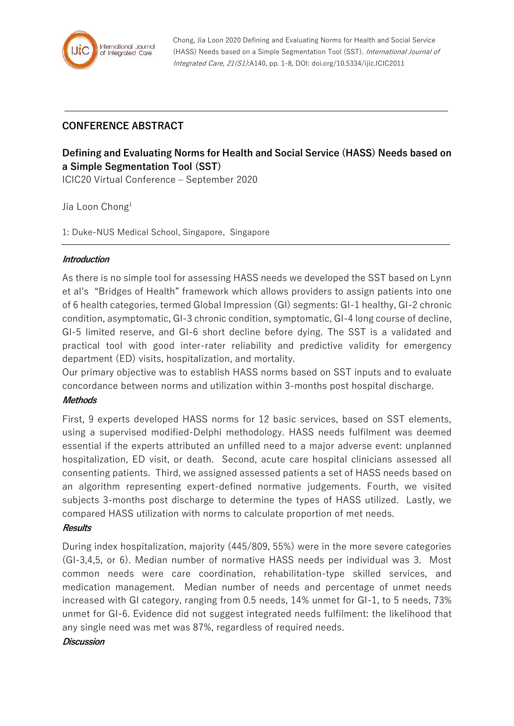

Chong, Jia Loon 2020 Defining and Evaluating Norms for Health and Social Service (HASS) Needs based on a Simple Segmentation Tool (SST). International Journal of Integrated Care, 21(S1):A140, pp. 1-8, DOI: doi.org/10.5334/ijic.ICIC2011

## **CONFERENCE ABSTRACT**

# **Defining and Evaluating Norms for Health and Social Service (HASS) Needs based on a Simple Segmentation Tool (SST)**

ICIC20 Virtual Conference – September 2020

Jia Loon Chong<sup>1</sup>

1: Duke-NUS Medical School, Singapore, Singapore

## **Introduction**

As there is no simple tool for assessing HASS needs we developed the SST based on Lynn et al's "Bridges of Health" framework which allows providers to assign patients into one of 6 health categories, termed Global Impression (GI) segments: GI-1 healthy, GI-2 chronic condition, asymptomatic, GI-3 chronic condition, symptomatic, GI-4 long course of decline, GI-5 limited reserve, and GI-6 short decline before dying. The SST is a validated and practical tool with good inter-rater reliability and predictive validity for emergency department (ED) visits, hospitalization, and mortality.

Our primary objective was to establish HASS norms based on SST inputs and to evaluate concordance between norms and utilization within 3-months post hospital discharge.

## **Methods**

First, 9 experts developed HASS norms for 12 basic services, based on SST elements, using a supervised modified-Delphi methodology. HASS needs fulfilment was deemed essential if the experts attributed an unfilled need to a major adverse event: unplanned hospitalization, ED visit, or death. Second, acute care hospital clinicians assessed all consenting patients. Third, we assigned assessed patients a set of HASS needs based on an algorithm representing expert-defined normative judgements. Fourth, we visited subjects 3-months post discharge to determine the types of HASS utilized. Lastly, we compared HASS utilization with norms to calculate proportion of met needs.

#### **Results**

During index hospitalization, majority (445/809, 55%) were in the more severe categories (GI-3,4,5, or 6). Median number of normative HASS needs per individual was 3. Most common needs were care coordination, rehabilitation-type skilled services, and medication management. Median number of needs and percentage of unmet needs increased with GI category, ranging from 0.5 needs, 14% unmet for GI-1, to 5 needs, 73% unmet for GI-6. Evidence did not suggest integrated needs fulfilment: the likelihood that any single need was met was 87%, regardless of required needs.

#### **Discussion**